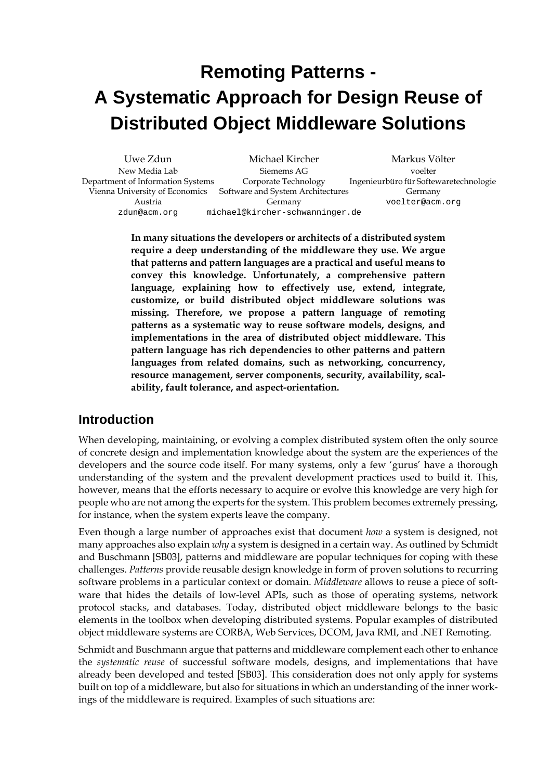# **Remoting Patterns - A Systematic Approach for Design Reuse of Distributed Object Middleware Solutions**

| Uwe Zdun                          | Michael Kircher                   | Markus Völter                          |
|-----------------------------------|-----------------------------------|----------------------------------------|
| New Media Lab                     | Siemems AG                        | voelter                                |
| Department of Information Systems | Corporate Technology              | Ingenieurbüro für Softewaretechnologie |
| Vienna University of Economics    | Software and System Architectures | Germany                                |
| Austria                           | Germany                           | voelter@acm.org                        |
| zdun@acm.org                      | michael@kircher-schwanninger.de   |                                        |

**In many situations the developers or architects of a distributed system require a deep understanding of the middleware they use. We argue that patterns and pattern languages are a practical and useful means to convey this knowledge. Unfortunately, a comprehensive pattern language, explaining how to effectively use, extend, integrate, customize, or build distributed object middleware solutions was missing. Therefore, we propose a pattern language of remoting patterns as a systematic way to reuse software models, designs, and implementations in the area of distributed object middleware. This pattern language has rich dependencies to other patterns and pattern languages from related domains, such as networking, concurrency, resource management, server components, security, availability, scalability, fault tolerance, and aspect-orientation.**

### **Introduction**

When developing, maintaining, or evolving a complex distributed system often the only source of concrete design and implementation knowledge about the system are the experiences of the developers and the source code itself. For many systems, only a few 'gurus' have a thorough understanding of the system and the prevalent development practices used to build it. This, however, means that the efforts necessary to acquire or evolve this knowledge are very high for people who are not among the experts for the system. This problem becomes extremely pressing, for instance, when the system experts leave the company.

Even though a large number of approaches exist that document *how* a system is designed, not many approaches also explain *why* a system is designed in a certain way. As outlined by Schmidt and Buschmann [SB03], patterns and middleware are popular techniques for coping with these challenges. *Patterns* provide reusable design knowledge in form of proven solutions to recurring software problems in a particular context or domain. *Middleware* allows to reuse a piece of software that hides the details of low-level APIs, such as those of operating systems, network protocol stacks, and databases. Today, distributed object middleware belongs to the basic elements in the toolbox when developing distributed systems. Popular examples of distributed object middleware systems are CORBA, Web Services, DCOM, Java RMI, and .NET Remoting.

Schmidt and Buschmann argue that patterns and middleware complement each other to enhance the *systematic reuse* of successful software models, designs, and implementations that have already been developed and tested [SB03]. This consideration does not only apply for systems built on top of a middleware, but also for situations in which an understanding of the inner workings of the middleware is required. Examples of such situations are: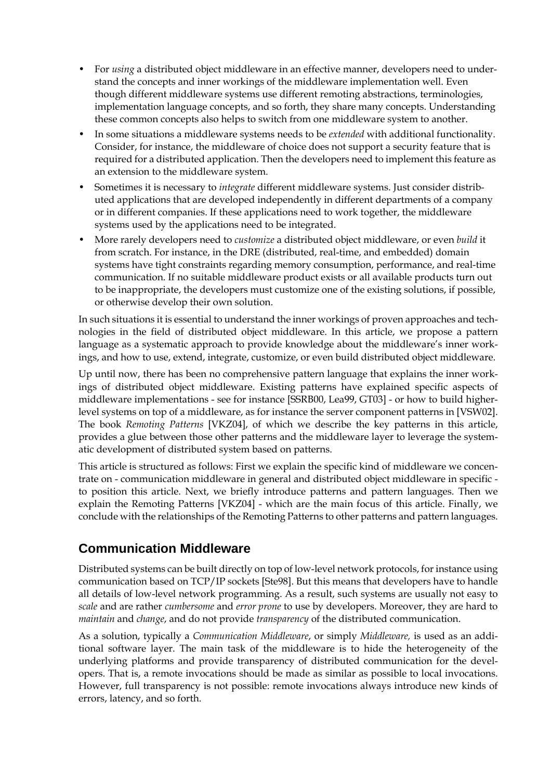- For *using* a distributed object middleware in an effective manner, developers need to understand the concepts and inner workings of the middleware implementation well. Even though different middleware systems use different remoting abstractions, terminologies, implementation language concepts, and so forth, they share many concepts. Understanding these common concepts also helps to switch from one middleware system to another.
- In some situations a middleware systems needs to be *extended* with additional functionality. Consider, for instance, the middleware of choice does not support a security feature that is required for a distributed application. Then the developers need to implement this feature as an extension to the middleware system.
- Sometimes it is necessary to *integrate* different middleware systems. Just consider distributed applications that are developed independently in different departments of a company or in different companies. If these applications need to work together, the middleware systems used by the applications need to be integrated.
- More rarely developers need to *customize* a distributed object middleware, or even *build* it from scratch. For instance, in the DRE (distributed, real-time, and embedded) domain systems have tight constraints regarding memory consumption, performance, and real-time communication. If no suitable middleware product exists or all available products turn out to be inappropriate, the developers must customize one of the existing solutions, if possible, or otherwise develop their own solution.

In such situations it is essential to understand the inner workings of proven approaches and technologies in the field of distributed object middleware. In this article, we propose a pattern language as a systematic approach to provide knowledge about the middleware's inner workings, and how to use, extend, integrate, customize, or even build distributed object middleware.

Up until now, there has been no comprehensive pattern language that explains the inner workings of distributed object middleware. Existing patterns have explained specific aspects of middleware implementations - see for instance [SSRB00, Lea99, GT03] - or how to build higherlevel systems on top of a middleware, as for instance the server component patterns in [VSW02]. The book *Remoting Patterns* [VKZ04], of which we describe the key patterns in this article, provides a glue between those other patterns and the middleware layer to leverage the systematic development of distributed system based on patterns.

This article is structured as follows: First we explain the specific kind of middleware we concentrate on - communication middleware in general and distributed object middleware in specific to position this article. Next, we briefly introduce patterns and pattern languages. Then we explain the Remoting Patterns [VKZ04] - which are the main focus of this article. Finally, we conclude with the relationships of the Remoting Patterns to other patterns and pattern languages.

# **Communication Middleware**

Distributed systems can be built directly on top of low-level network protocols, for instance using communication based on TCP/IP sockets [Ste98]. But this means that developers have to handle all details of low-level network programming. As a result, such systems are usually not easy to *scale* and are rather *cumbersome* and *error prone* to use by developers. Moreover, they are hard to *maintain* and *change*, and do not provide *transparency* of the distributed communication.

As a solution, typically a *Communication Middleware*, or simply *Middleware,* is used as an additional software layer. The main task of the middleware is to hide the heterogeneity of the underlying platforms and provide transparency of distributed communication for the developers. That is, a remote invocations should be made as similar as possible to local invocations. However, full transparency is not possible: remote invocations always introduce new kinds of errors, latency, and so forth.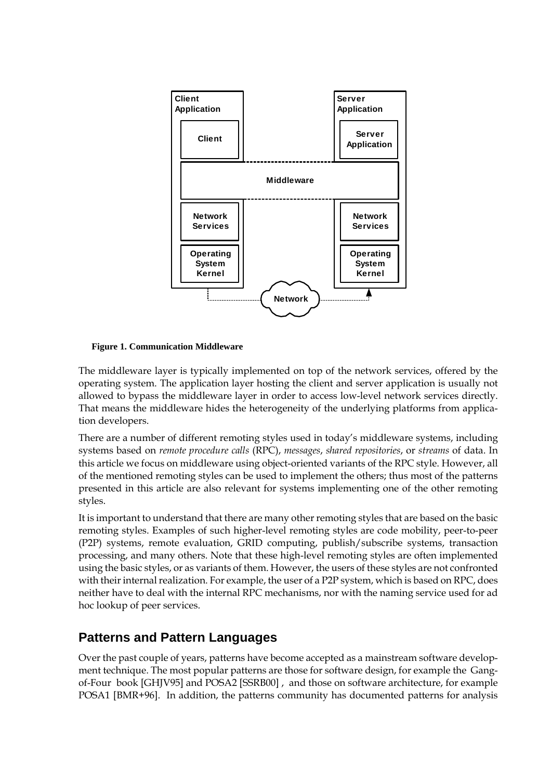

**Figure 1. Communication Middleware**

The middleware layer is typically implemented on top of the network services, offered by the operating system. The application layer hosting the client and server application is usually not allowed to bypass the middleware layer in order to access low-level network services directly. That means the middleware hides the heterogeneity of the underlying platforms from application developers.

There are a number of different remoting styles used in today's middleware systems, including systems based on *remote procedure calls* (RPC), *messages*, *shared repositories*, or *streams* of data. In this article we focus on middleware using object-oriented variants of the RPC style. However, all of the mentioned remoting styles can be used to implement the others; thus most of the patterns presented in this article are also relevant for systems implementing one of the other remoting styles.

It is important to understand that there are many other remoting styles that are based on the basic remoting styles. Examples of such higher-level remoting styles are code mobility, peer-to-peer (P2P) systems, remote evaluation, GRID computing, publish/subscribe systems, transaction processing, and many others. Note that these high-level remoting styles are often implemented using the basic styles, or as variants of them. However, the users of these styles are not confronted with their internal realization. For example, the user of a P2P system, which is based on RPC, does neither have to deal with the internal RPC mechanisms, nor with the naming service used for ad hoc lookup of peer services.

# **Patterns and Pattern Languages**

Over the past couple of years, patterns have become accepted as a mainstream software development technique. The most popular patterns are those for software design, for example the Gangof-Four book [GHJV95] and POSA2 [SSRB00] , and those on software architecture, for example POSA1 [BMR+96]. In addition, the patterns community has documented patterns for analysis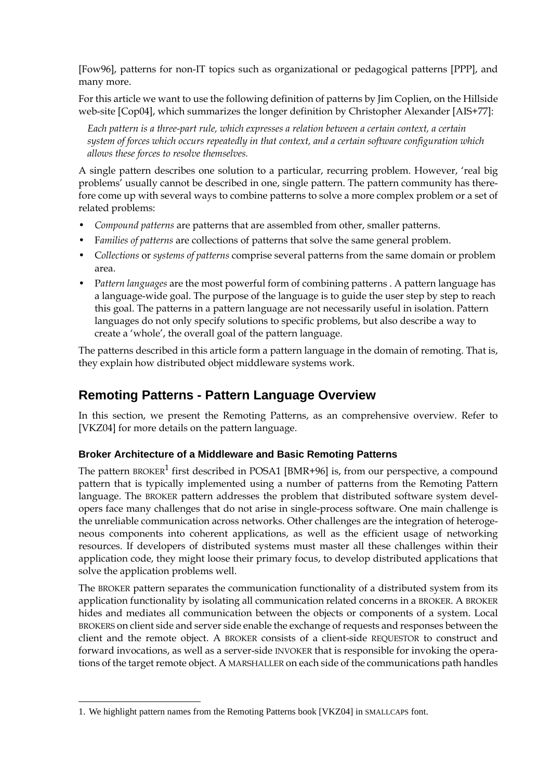[Fow96], patterns for non-IT topics such as organizational or pedagogical patterns [PPP], and many more.

For this article we want to use the following definition of patterns by Jim Coplien, on the Hillside web-site [Cop04], which summarizes the longer definition by Christopher Alexander [AIS+77]:

*Each pattern is a three-part rule, which expresses a relation between a certain context, a certain system of forces which occurs repeatedly in that context, and a certain software configuration which allows these forces to resolve themselves.*

A single pattern describes one solution to a particular, recurring problem. However, 'real big problems' usually cannot be described in one, single pattern. The pattern community has therefore come up with several ways to combine patterns to solve a more complex problem or a set of related problems:

- *Compound patterns* are patterns that are assembled from other, smaller patterns.
- F*amilies of patterns* are collections of patterns that solve the same general problem.
- C*ollections* or *systems of patterns* comprise several patterns from the same domain or problem area.
- P*attern languages* are the most powerful form of combining patterns . A pattern language has a language-wide goal. The purpose of the language is to guide the user step by step to reach this goal. The patterns in a pattern language are not necessarily useful in isolation. Pattern languages do not only specify solutions to specific problems, but also describe a way to create a 'whole', the overall goal of the pattern language.

The patterns described in this article form a pattern language in the domain of remoting. That is, they explain how distributed object middleware systems work.

### **Remoting Patterns - Pattern Language Overview**

In this section, we present the Remoting Patterns, as an comprehensive overview. Refer to [VKZ04] for more details on the pattern language.

### **Broker Architecture of a Middleware and Basic Remoting Patterns**

The pattern BROKER<sup>1</sup> first described in POSA1 [BMR+96] is, from our perspective, a compound pattern that is typically implemented using a number of patterns from the Remoting Pattern language. The BROKER pattern addresses the problem that distributed software system developers face many challenges that do not arise in single-process software. One main challenge is the unreliable communication across networks. Other challenges are the integration of heterogeneous components into coherent applications, as well as the efficient usage of networking resources. If developers of distributed systems must master all these challenges within their application code, they might loose their primary focus, to develop distributed applications that solve the application problems well.

The BROKER pattern separates the communication functionality of a distributed system from its application functionality by isolating all communication related concerns in a BROKER. A BROKER hides and mediates all communication between the objects or components of a system. Local BROKERS on client side and server side enable the exchange of requests and responses between the client and the remote object. A BROKER consists of a client-side REQUESTOR to construct and forward invocations, as well as a server-side INVOKER that is responsible for invoking the operations of the target remote object. A MARSHALLER on each side of the communications path handles

<sup>1.</sup> We highlight pattern names from the Remoting Patterns book [VKZ04] in SMALLCAPS font.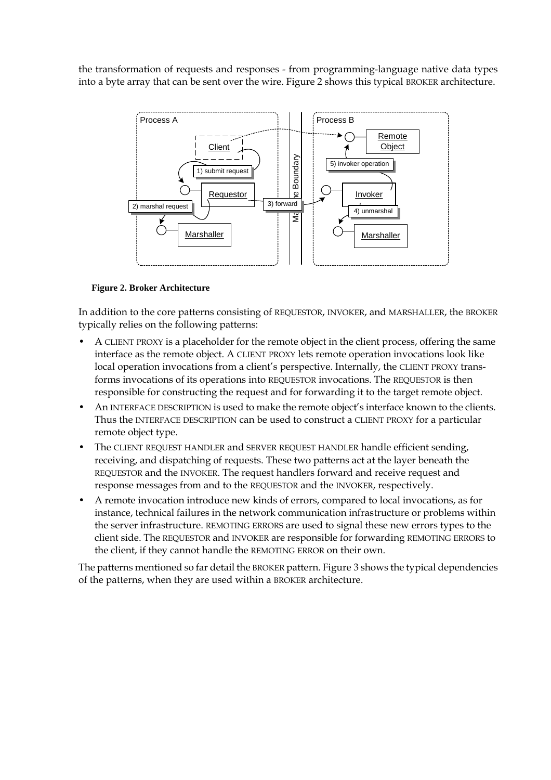the transformation of requests and responses - from programming-language native data types into a byte array that can be sent over the wire. Figure 2 shows this typical BROKER architecture.



#### **Figure 2. Broker Architecture**

In addition to the core patterns consisting of REQUESTOR, INVOKER, and MARSHALLER, the BROKER typically relies on the following patterns:

- A CLIENT PROXY is a placeholder for the remote object in the client process, offering the same interface as the remote object. A CLIENT PROXY lets remote operation invocations look like local operation invocations from a client's perspective. Internally, the CLIENT PROXY transforms invocations of its operations into REQUESTOR invocations. The REQUESTOR is then responsible for constructing the request and for forwarding it to the target remote object.
- An INTERFACE DESCRIPTION is used to make the remote object's interface known to the clients. Thus the INTERFACE DESCRIPTION can be used to construct a CLIENT PROXY for a particular remote object type.
- The CLIENT REQUEST HANDLER and SERVER REQUEST HANDLER handle efficient sending, receiving, and dispatching of requests. These two patterns act at the layer beneath the REQUESTOR and the INVOKER. The request handlers forward and receive request and response messages from and to the REQUESTOR and the INVOKER, respectively.
- A remote invocation introduce new kinds of errors, compared to local invocations, as for instance, technical failures in the network communication infrastructure or problems within the server infrastructure. REMOTING ERRORS are used to signal these new errors types to the client side. The REQUESTOR and INVOKER are responsible for forwarding REMOTING ERRORS to the client, if they cannot handle the REMOTING ERROR on their own.

The patterns mentioned so far detail the BROKER pattern. Figure 3 shows the typical dependencies of the patterns, when they are used within a BROKER architecture.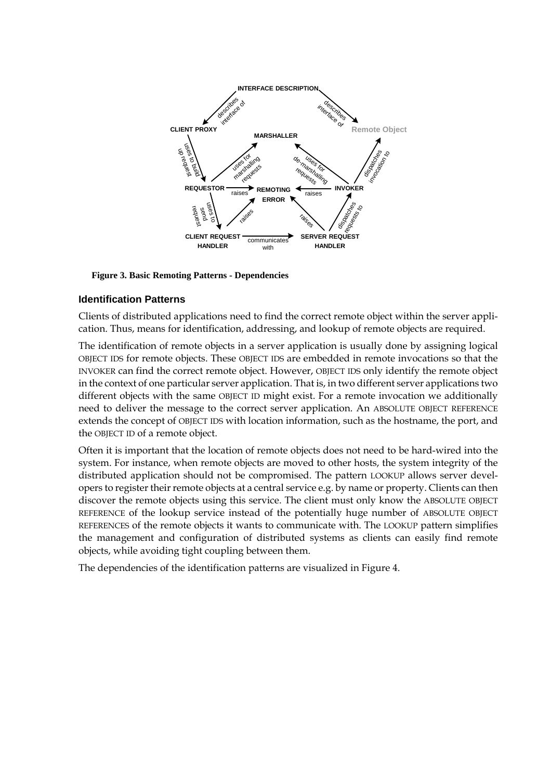

#### **Figure 3. Basic Remoting Patterns - Dependencies**

#### **Identification Patterns**

Clients of distributed applications need to find the correct remote object within the server application. Thus, means for identification, addressing, and lookup of remote objects are required.

The identification of remote objects in a server application is usually done by assigning logical OBJECT IDS for remote objects. These OBJECT IDS are embedded in remote invocations so that the INVOKER can find the correct remote object. However, OBJECT IDS only identify the remote object in the context of one particular server application. That is, in two different server applications two different objects with the same OBJECT ID might exist. For a remote invocation we additionally need to deliver the message to the correct server application. An ABSOLUTE OBJECT REFERENCE extends the concept of OBJECT IDS with location information, such as the hostname, the port, and the OBJECT ID of a remote object.

Often it is important that the location of remote objects does not need to be hard-wired into the system. For instance, when remote objects are moved to other hosts, the system integrity of the distributed application should not be compromised. The pattern LOOKUP allows server developers to register their remote objects at a central service e.g. by name or property. Clients can then discover the remote objects using this service. The client must only know the ABSOLUTE OBJECT REFERENCE of the lookup service instead of the potentially huge number of ABSOLUTE OBJECT REFERENCES of the remote objects it wants to communicate with. The LOOKUP pattern simplifies the management and configuration of distributed systems as clients can easily find remote objects, while avoiding tight coupling between them.

The dependencies of the identification patterns are visualized in Figure 4.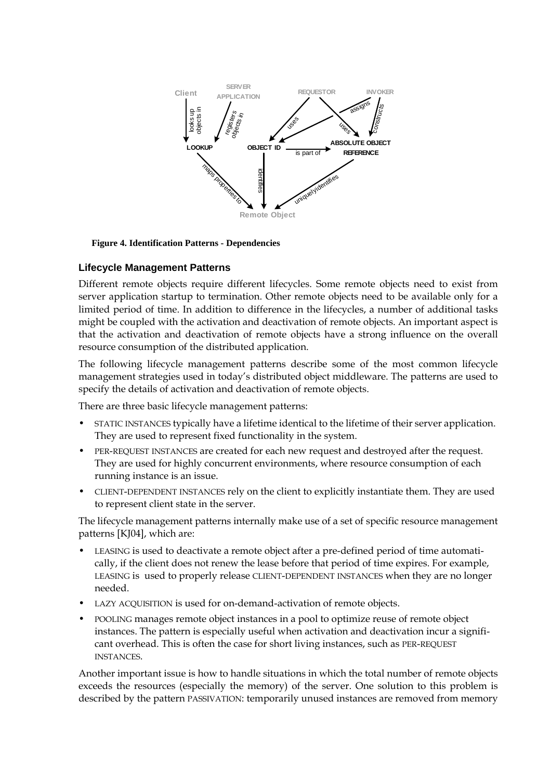

#### **Figure 4. Identification Patterns - Dependencies**

#### **Lifecycle Management Patterns**

Different remote objects require different lifecycles. Some remote objects need to exist from server application startup to termination. Other remote objects need to be available only for a limited period of time. In addition to difference in the lifecycles, a number of additional tasks might be coupled with the activation and deactivation of remote objects. An important aspect is that the activation and deactivation of remote objects have a strong influence on the overall resource consumption of the distributed application.

The following lifecycle management patterns describe some of the most common lifecycle management strategies used in today's distributed object middleware. The patterns are used to specify the details of activation and deactivation of remote objects.

There are three basic lifecycle management patterns:

- STATIC INSTANCES typically have a lifetime identical to the lifetime of their server application. They are used to represent fixed functionality in the system.
- PER-REQUEST INSTANCES are created for each new request and destroyed after the request. They are used for highly concurrent environments, where resource consumption of each running instance is an issue.
- CLIENT-DEPENDENT INSTANCES rely on the client to explicitly instantiate them. They are used to represent client state in the server.

The lifecycle management patterns internally make use of a set of specific resource management patterns [KJ04], which are:

- LEASING is used to deactivate a remote object after a pre-defined period of time automatically, if the client does not renew the lease before that period of time expires. For example, LEASING is used to properly release CLIENT-DEPENDENT INSTANCES when they are no longer needed.
- LAZY ACQUISITION is used for on-demand-activation of remote objects.
- POOLING manages remote object instances in a pool to optimize reuse of remote object instances. The pattern is especially useful when activation and deactivation incur a significant overhead. This is often the case for short living instances, such as PER-REQUEST INSTANCES.

Another important issue is how to handle situations in which the total number of remote objects exceeds the resources (especially the memory) of the server. One solution to this problem is described by the pattern PASSIVATION: temporarily unused instances are removed from memory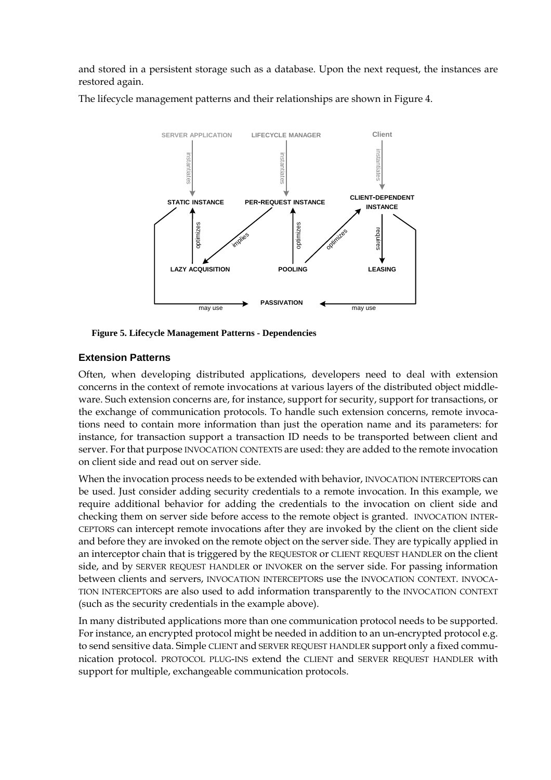and stored in a persistent storage such as a database. Upon the next request, the instances are restored again.

The lifecycle management patterns and their relationships are shown in Figure 4.



**Figure 5. Lifecycle Management Patterns - Dependencies**

### **Extension Patterns**

Often, when developing distributed applications, developers need to deal with extension concerns in the context of remote invocations at various layers of the distributed object middleware. Such extension concerns are, for instance, support for security, support for transactions, or the exchange of communication protocols. To handle such extension concerns, remote invocations need to contain more information than just the operation name and its parameters: for instance, for transaction support a transaction ID needs to be transported between client and server. For that purpose INVOCATION CONTEXTS are used: they are added to the remote invocation on client side and read out on server side.

When the invocation process needs to be extended with behavior, INVOCATION INTERCEPTORS can be used. Just consider adding security credentials to a remote invocation. In this example, we require additional behavior for adding the credentials to the invocation on client side and checking them on server side before access to the remote object is granted. INVOCATION INTER-CEPTORS can intercept remote invocations after they are invoked by the client on the client side and before they are invoked on the remote object on the server side. They are typically applied in an interceptor chain that is triggered by the REQUESTOR or CLIENT REQUEST HANDLER on the client side, and by SERVER REQUEST HANDLER or INVOKER on the server side. For passing information between clients and servers, INVOCATION INTERCEPTORS use the INVOCATION CONTEXT. INVOCA-TION INTERCEPTORS are also used to add information transparently to the INVOCATION CONTEXT (such as the security credentials in the example above).

In many distributed applications more than one communication protocol needs to be supported. For instance, an encrypted protocol might be needed in addition to an un-encrypted protocol e.g. to send sensitive data. Simple CLIENT and SERVER REQUEST HANDLER support only a fixed communication protocol. PROTOCOL PLUG-INS extend the CLIENT and SERVER REQUEST HANDLER with support for multiple, exchangeable communication protocols.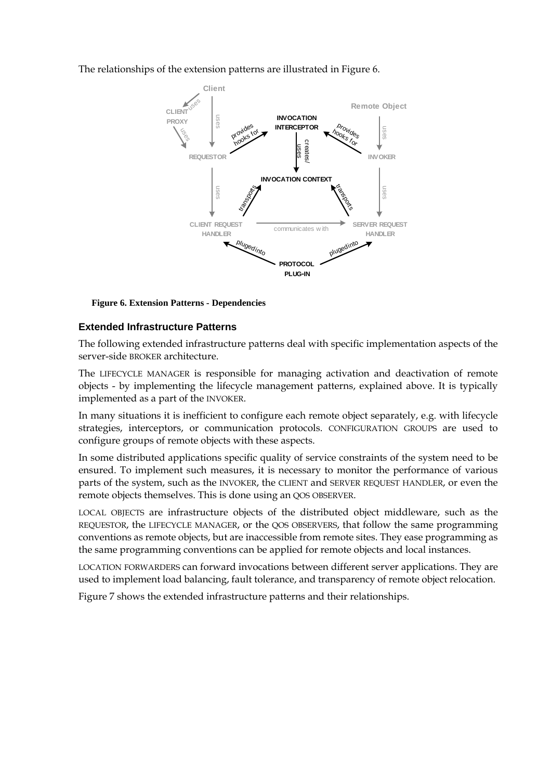The relationships of the extension patterns are illustrated in Figure 6.



**Figure 6. Extension Patterns - Dependencies**

### **Extended Infrastructure Patterns**

The following extended infrastructure patterns deal with specific implementation aspects of the server-side BROKER architecture.

The LIFECYCLE MANAGER is responsible for managing activation and deactivation of remote objects - by implementing the lifecycle management patterns, explained above. It is typically implemented as a part of the INVOKER.

In many situations it is inefficient to configure each remote object separately, e.g. with lifecycle strategies, interceptors, or communication protocols. CONFIGURATION GROUPS are used to configure groups of remote objects with these aspects.

In some distributed applications specific quality of service constraints of the system need to be ensured. To implement such measures, it is necessary to monitor the performance of various parts of the system, such as the INVOKER, the CLIENT and SERVER REQUEST HANDLER, or even the remote objects themselves. This is done using an QOS OBSERVER.

LOCAL OBJECTS are infrastructure objects of the distributed object middleware, such as the REQUESTOR, the LIFECYCLE MANAGER, or the QOS OBSERVERS, that follow the same programming conventions as remote objects, but are inaccessible from remote sites. They ease programming as the same programming conventions can be applied for remote objects and local instances.

LOCATION FORWARDERS can forward invocations between different server applications. They are used to implement load balancing, fault tolerance, and transparency of remote object relocation.

Figure 7 shows the extended infrastructure patterns and their relationships.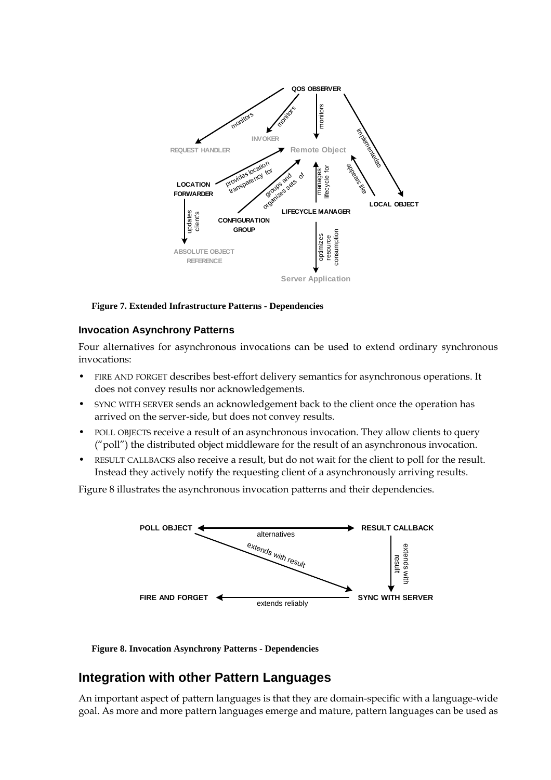

#### **Figure 7. Extended Infrastructure Patterns - Dependencies**

#### **Invocation Asynchrony Patterns**

Four alternatives for asynchronous invocations can be used to extend ordinary synchronous invocations:

- FIRE AND FORGET describes best-effort delivery semantics for asynchronous operations. It does not convey results nor acknowledgements.
- SYNC WITH SERVER sends an acknowledgement back to the client once the operation has arrived on the server-side, but does not convey results.
- POLL OBJECTS receive a result of an asynchronous invocation. They allow clients to query ("poll") the distributed object middleware for the result of an asynchronous invocation.
- RESULT CALLBACKS also receive a result, but do not wait for the client to poll for the result. Instead they actively notify the requesting client of a asynchronously arriving results.

Figure 8 illustrates the asynchronous invocation patterns and their dependencies.



**Figure 8. Invocation Asynchrony Patterns - Dependencies**

### **Integration with other Pattern Languages**

An important aspect of pattern languages is that they are domain-specific with a language-wide goal. As more and more pattern languages emerge and mature, pattern languages can be used as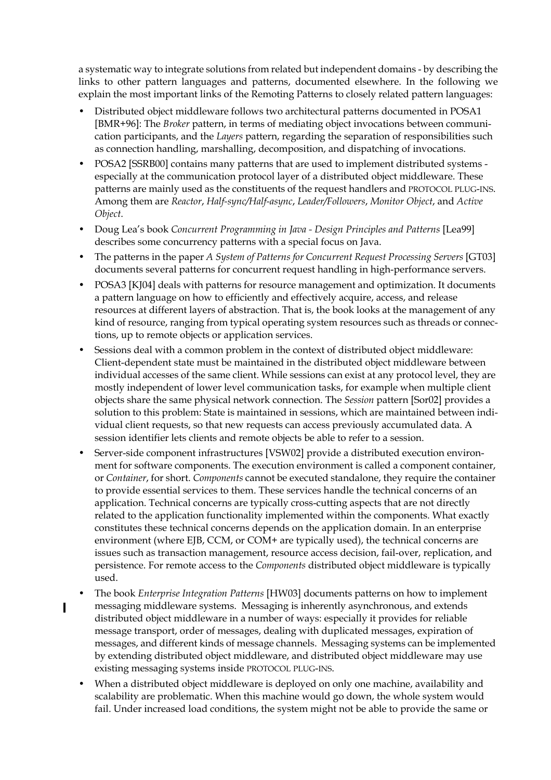a systematic way to integrate solutions from related but independent domains - by describing the links to other pattern languages and patterns, documented elsewhere. In the following we explain the most important links of the Remoting Patterns to closely related pattern languages:

- Distributed object middleware follows two architectural patterns documented in POSA1 [BMR+96]: The *Broker* pattern, in terms of mediating object invocations between communication participants, and the *Layers* pattern, regarding the separation of responsibilities such as connection handling, marshalling, decomposition, and dispatching of invocations.
- POSA2 [SSRB00] contains many patterns that are used to implement distributed systems especially at the communication protocol layer of a distributed object middleware. These patterns are mainly used as the constituents of the request handlers and PROTOCOL PLUG-INS. Among them are *Reactor*, *Half-sync/Half-async*, *Leader/Followers*, *Monitor Object*, and *Active Object*.
- Doug Lea's book *Concurrent Programming in Java Design Principles and Patterns* [Lea99] describes some concurrency patterns with a special focus on Java.
- The patterns in the paper *A System of Patterns for Concurrent Request Processing Servers* [GT03] documents several patterns for concurrent request handling in high-performance servers.
- POSA3 [KJ04] deals with patterns for resource management and optimization. It documents a pattern language on how to efficiently and effectively acquire, access, and release resources at different layers of abstraction. That is, the book looks at the management of any kind of resource, ranging from typical operating system resources such as threads or connections, up to remote objects or application services.
- Sessions deal with a common problem in the context of distributed object middleware: Client-dependent state must be maintained in the distributed object middleware between individual accesses of the same client. While sessions can exist at any protocol level, they are mostly independent of lower level communication tasks, for example when multiple client objects share the same physical network connection. The *Session* pattern [Sor02] provides a solution to this problem: State is maintained in sessions, which are maintained between individual client requests, so that new requests can access previously accumulated data. A session identifier lets clients and remote objects be able to refer to a session.
- Server-side component infrastructures [VSW02] provide a distributed execution environment for software components. The execution environment is called a component container, or *Container*, for short. *Components* cannot be executed standalone, they require the container to provide essential services to them. These services handle the technical concerns of an application. Technical concerns are typically cross-cutting aspects that are not directly related to the application functionality implemented within the components. What exactly constitutes these technical concerns depends on the application domain. In an enterprise environment (where EJB, CCM, or COM+ are typically used), the technical concerns are issues such as transaction management, resource access decision, fail-over, replication, and persistence. For remote access to the *Components* distributed object middleware is typically used.
- The book *Enterprise Integration Patterns* [HW03] documents patterns on how to implement messaging middleware systems. Messaging is inherently asynchronous, and extends distributed object middleware in a number of ways: especially it provides for reliable message transport, order of messages, dealing with duplicated messages, expiration of messages, and different kinds of message channels. Messaging systems can be implemented by extending distributed object middleware, and distributed object middleware may use existing messaging systems inside PROTOCOL PLUG-INS.

 $\mathbf I$ 

• When a distributed object middleware is deployed on only one machine, availability and scalability are problematic. When this machine would go down, the whole system would fail. Under increased load conditions, the system might not be able to provide the same or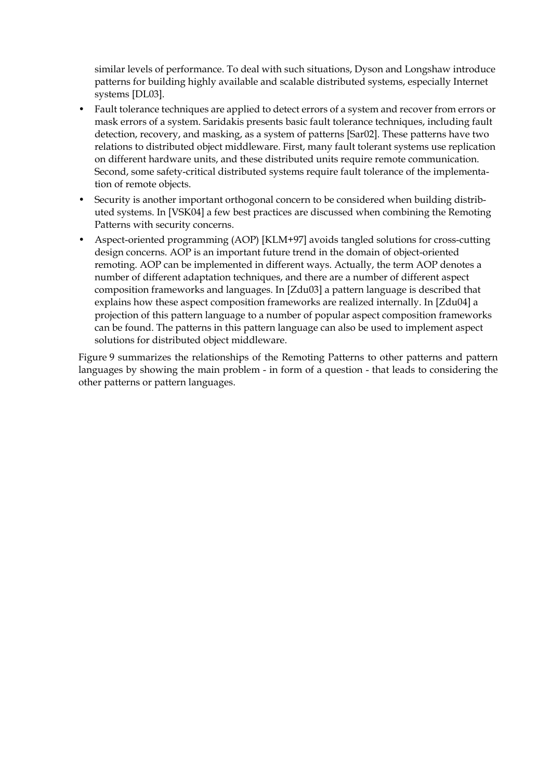similar levels of performance. To deal with such situations, Dyson and Longshaw introduce patterns for building highly available and scalable distributed systems, especially Internet systems [DL03].

- Fault tolerance techniques are applied to detect errors of a system and recover from errors or mask errors of a system. Saridakis presents basic fault tolerance techniques, including fault detection, recovery, and masking, as a system of patterns [Sar02]. These patterns have two relations to distributed object middleware. First, many fault tolerant systems use replication on different hardware units, and these distributed units require remote communication. Second, some safety-critical distributed systems require fault tolerance of the implementation of remote objects.
- Security is another important orthogonal concern to be considered when building distributed systems. In [VSK04] a few best practices are discussed when combining the Remoting Patterns with security concerns.
- Aspect-oriented programming (AOP) [KLM+97] avoids tangled solutions for cross-cutting design concerns. AOP is an important future trend in the domain of object-oriented remoting. AOP can be implemented in different ways. Actually, the term AOP denotes a number of different adaptation techniques, and there are a number of different aspect composition frameworks and languages. In [Zdu03] a pattern language is described that explains how these aspect composition frameworks are realized internally. In [Zdu04] a projection of this pattern language to a number of popular aspect composition frameworks can be found. The patterns in this pattern language can also be used to implement aspect solutions for distributed object middleware.

Figure 9 summarizes the relationships of the Remoting Patterns to other patterns and pattern languages by showing the main problem - in form of a question - that leads to considering the other patterns or pattern languages.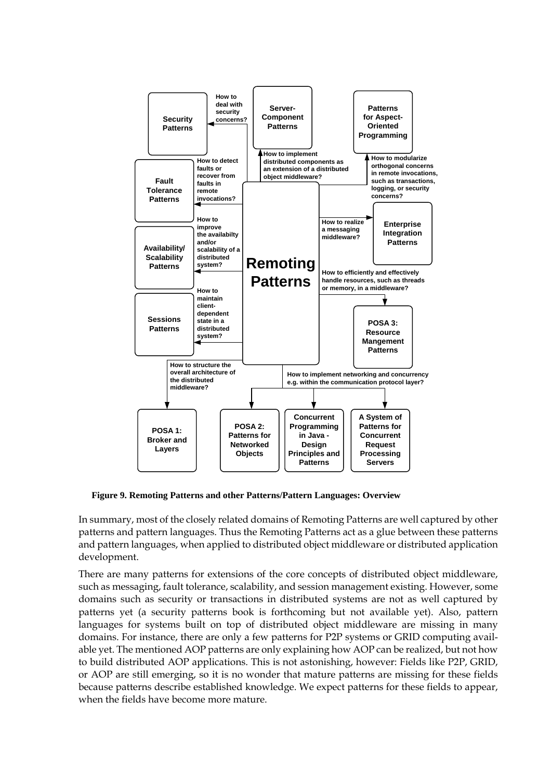

**Figure 9. Remoting Patterns and other Patterns/Pattern Languages: Overview**

In summary, most of the closely related domains of Remoting Patterns are well captured by other patterns and pattern languages. Thus the Remoting Patterns act as a glue between these patterns and pattern languages, when applied to distributed object middleware or distributed application development.

There are many patterns for extensions of the core concepts of distributed object middleware, such as messaging, fault tolerance, scalability, and session management existing. However, some domains such as security or transactions in distributed systems are not as well captured by patterns yet (a security patterns book is forthcoming but not available yet). Also, pattern languages for systems built on top of distributed object middleware are missing in many domains. For instance, there are only a few patterns for P2P systems or GRID computing available yet. The mentioned AOP patterns are only explaining how AOP can be realized, but not how to build distributed AOP applications. This is not astonishing, however: Fields like P2P, GRID, or AOP are still emerging, so it is no wonder that mature patterns are missing for these fields because patterns describe established knowledge. We expect patterns for these fields to appear, when the fields have become more mature.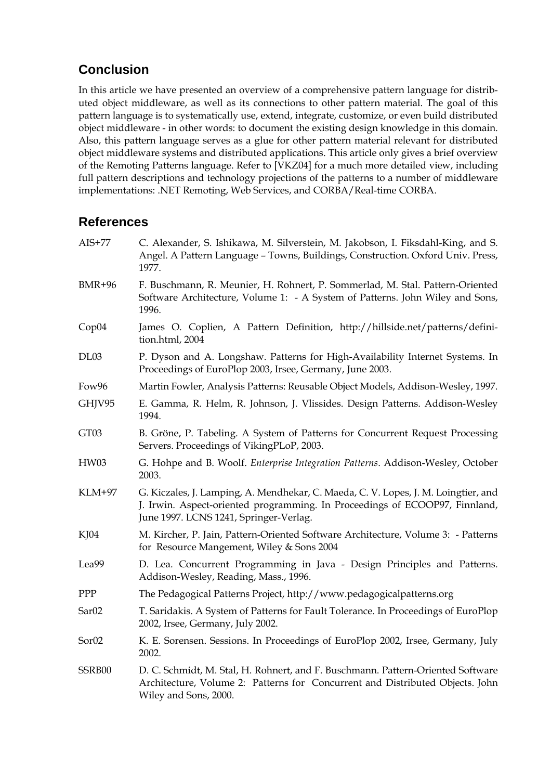# **Conclusion**

In this article we have presented an overview of a comprehensive pattern language for distributed object middleware, as well as its connections to other pattern material. The goal of this pattern language is to systematically use, extend, integrate, customize, or even build distributed object middleware - in other words: to document the existing design knowledge in this domain. Also, this pattern language serves as a glue for other pattern material relevant for distributed object middleware systems and distributed applications. This article only gives a brief overview of the Remoting Patterns language. Refer to [VKZ04] for a much more detailed view, including full pattern descriptions and technology projections of the patterns to a number of middleware implementations: .NET Remoting, Web Services, and CORBA/Real-time CORBA.

# **References**

| $AIS+77$          | C. Alexander, S. Ishikawa, M. Silverstein, M. Jakobson, I. Fiksdahl-King, and S.<br>Angel. A Pattern Language - Towns, Buildings, Construction. Oxford Univ. Press,<br>1977.                                |
|-------------------|-------------------------------------------------------------------------------------------------------------------------------------------------------------------------------------------------------------|
| <b>BMR+96</b>     | F. Buschmann, R. Meunier, H. Rohnert, P. Sommerlad, M. Stal. Pattern-Oriented<br>Software Architecture, Volume 1: - A System of Patterns. John Wiley and Sons,<br>1996.                                     |
| Cop04             | James O. Coplien, A Pattern Definition, http://hillside.net/patterns/defini-<br>tion.html, 2004                                                                                                             |
| DL03              | P. Dyson and A. Longshaw. Patterns for High-Availability Internet Systems. In<br>Proceedings of EuroPlop 2003, Irsee, Germany, June 2003.                                                                   |
| Fow96             | Martin Fowler, Analysis Patterns: Reusable Object Models, Addison-Wesley, 1997.                                                                                                                             |
| GHJV95            | E. Gamma, R. Helm, R. Johnson, J. Vlissides. Design Patterns. Addison-Wesley<br>1994.                                                                                                                       |
| GT03              | B. Gröne, P. Tabeling. A System of Patterns for Concurrent Request Processing<br>Servers. Proceedings of VikingPLoP, 2003.                                                                                  |
| HW03              | G. Hohpe and B. Woolf. Enterprise Integration Patterns. Addison-Wesley, October<br>2003.                                                                                                                    |
| <b>KLM+97</b>     | G. Kiczales, J. Lamping, A. Mendhekar, C. Maeda, C. V. Lopes, J. M. Loingtier, and<br>J. Irwin. Aspect-oriented programming. In Proceedings of ECOOP97, Finnland,<br>June 1997. LCNS 1241, Springer-Verlag. |
| $K$ J $04$        | M. Kircher, P. Jain, Pattern-Oriented Software Architecture, Volume 3: - Patterns<br>for Resource Mangement, Wiley & Sons 2004                                                                              |
| Lea99             | D. Lea. Concurrent Programming in Java - Design Principles and Patterns.<br>Addison-Wesley, Reading, Mass., 1996.                                                                                           |
| PPP               | The Pedagogical Patterns Project, http://www.pedagogicalpatterns.org                                                                                                                                        |
| Sar <sub>02</sub> | T. Saridakis. A System of Patterns for Fault Tolerance. In Proceedings of EuroPlop<br>2002, Irsee, Germany, July 2002.                                                                                      |
| Sor <sub>02</sub> | K. E. Sorensen. Sessions. In Proceedings of EuroPlop 2002, Irsee, Germany, July<br>2002.                                                                                                                    |
| SSRB00            | D. C. Schmidt, M. Stal, H. Rohnert, and F. Buschmann. Pattern-Oriented Software<br>Architecture, Volume 2: Patterns for Concurrent and Distributed Objects. John<br>Wiley and Sons, 2000.                   |